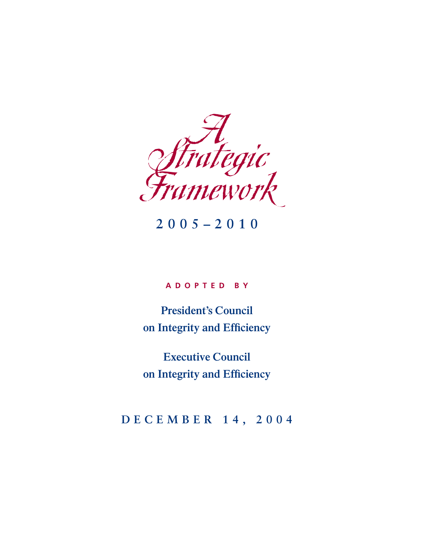

## **2005–2010**

#### **ADOPTED BY**

**President's Council on Integrity and Efficiency**

**Executive Council on Integrity and Efficiency**

### **DECEMBER 14, 2004**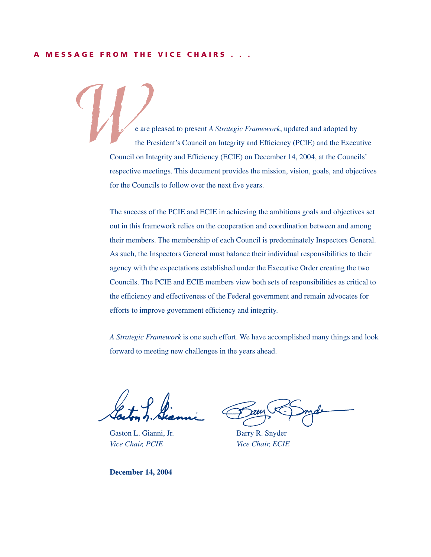#### **A MESSAGE FROM THE VICE CHAIRS . . .**

e are pleased to present *A Strategic Framework*, updated and adopted by the President's Council on Integrity and Efficiency (PCIE) and the Executive Council on Integrity and Efficiency (ECIE) on December 14, 2004, at the Councils' respective meetings. This document provides the mission, vision, goals, and objectives for the Councils to follow over the next five years. W

> The success of the PCIE and ECIE in achieving the ambitious goals and objectives set out in this framework relies on the cooperation and coordination between and among their members. The membership of each Council is predominately Inspectors General. As such, the Inspectors General must balance their individual responsibilities to their agency with the expectations established under the Executive Order creating the two Councils. The PCIE and ECIE members view both sets of responsibilities as critical to the efficiency and effectiveness of the Federal government and remain advocates for efforts to improve government efficiency and integrity.

> *A Strategic Framework* is one such effort. We have accomplished many things and look forward to meeting new challenges in the years ahead.

Gaston L. Gianni, Jr. Barry R. Snyder *Vice Chair, PCIE Vice Chair, ECIE* 

**December 14, 2004**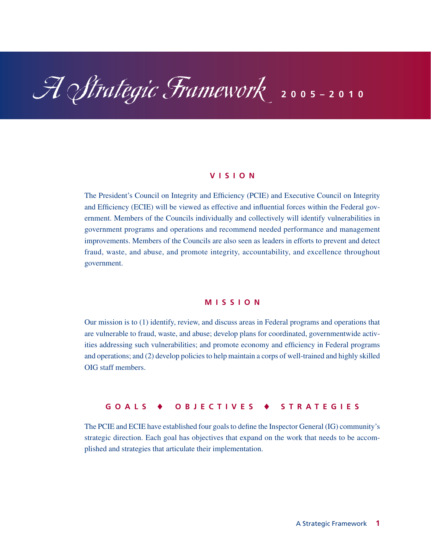# A Strategic Framework **2005–2010**

#### **VISION**

The President's Council on Integrity and Efficiency (PCIE) and Executive Council on Integrity and Efficiency (ECIE) will be viewed as effective and influential forces within the Federal government. Members of the Councils individually and collectively will identify vulnerabilities in government programs and operations and recommend needed performance and management improvements. Members of the Councils are also seen as leaders in efforts to prevent and detect fraud, waste, and abuse, and promote integrity, accountability, and excellence throughout government.

#### **MISSION**

Our mission is to (1) identify, review, and discuss areas in Federal programs and operations that are vulnerable to fraud, waste, and abuse; develop plans for coordinated, governmentwide activities addressing such vulnerabilities; and promote economy and efficiency in Federal programs and operations; and (2) develop policies to help maintain a corps of well-trained and highly skilled OIG staff members.

#### **GOALS** -**OBJECTIVES** - **STRATEGIES**

The PCIE and ECIE have established four goals to define the Inspector General (IG) community's strategic direction. Each goal has objectives that expand on the work that needs to be accomplished and strategies that articulate their implementation.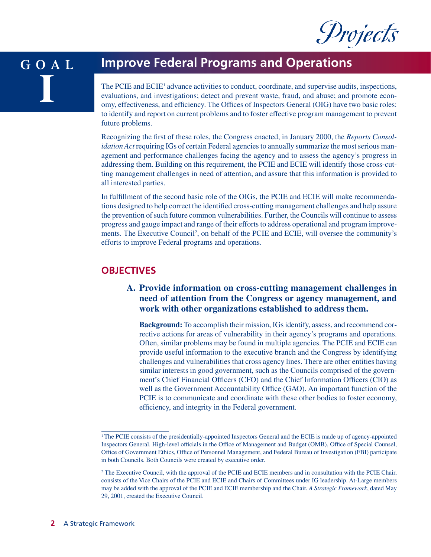

#### **GOAL I Improve Federal Programs and Operations** The PCIE and ECIE<sup>1</sup> advance activities to conduct, coordinate, and supervise audits, inspections, evaluations, and investigations; detect and prevent waste, fraud, and abuse; and promote economy, effectiveness, and efficiency. The Offices of Inspectors General (OIG) have two basic roles:

Recognizing the first of these roles, the Congress enacted, in January 2000, the *Reports Consolidation Act* requiring IGs of certain Federal agencies to annually summarize the most serious management and performance challenges facing the agency and to assess the agency's progress in addressing them. Building on this requirement, the PCIE and ECIE will identify those cross-cutting management challenges in need of attention, and assure that this information is provided to all interested parties.

to identify and report on current problems and to foster effective program management to prevent

In fulfillment of the second basic role of the OIGs, the PCIE and ECIE will make recommendations designed to help correct the identified cross-cutting management challenges and help assure the prevention of such future common vulnerabilities. Further, the Councils will continue to assess progress and gauge impact and range of their efforts to address operational and program improvements. The Executive Council<sup>2</sup>, on behalf of the PCIE and ECIE, will oversee the community's efforts to improve Federal programs and operations.

#### **OBJECTIVES**

future problems.

#### **A. Provide information on cross-cutting management challenges in need of attention from the Congress or agency management, and work with other organizations established to address them.**

**Background:** To accomplish their mission, IGs identify, assess, and recommend corrective actions for areas of vulnerability in their agency's programs and operations. Often, similar problems may be found in multiple agencies. The PCIE and ECIE can provide useful information to the executive branch and the Congress by identifying challenges and vulnerabilities that cross agency lines. There are other entities having similar interests in good government, such as the Councils comprised of the government's Chief Financial Officers (CFO) and the Chief Information Officers (CIO) as well as the Government Accountability Office (GAO). An important function of the PCIE is to communicate and coordinate with these other bodies to foster economy, efficiency, and integrity in the Federal government.

<sup>&</sup>lt;sup>1</sup>The PCIE consists of the presidentially-appointed Inspectors General and the ECIE is made up of agency-appointed Inspectors General. High-level officials in the Office of Management and Budget (OMB), Office of Special Counsel, Office of Government Ethics, Office of Personnel Management, and Federal Bureau of Investigation (FBI) participate in both Councils. Both Councils were created by executive order.

<sup>&</sup>lt;sup>2</sup> The Executive Council, with the approval of the PCIE and ECIE members and in consultation with the PCIE Chair, consists of the Vice Chairs of the PCIE and ECIE and Chairs of Committees under IG leadership. At-Large members may be added with the approval of the PCIE and ECIE membership and the Chair. *A Strategic Framework*, dated May 29, 2001, created the Executive Council.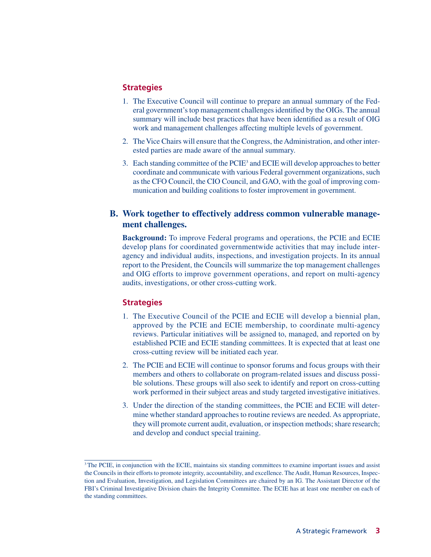#### **Strategies**

- 1. The Executive Council will continue to prepare an annual summary of the Federal government's top management challenges identified by the OIGs. The annual summary will include best practices that have been identified as a result of OIG work and management challenges affecting multiple levels of government.
- 2. The Vice Chairs will ensure that the Congress, the Administration, and other interested parties are made aware of the annual summary.
- 3. Each standing committee of the PCIE3 and ECIE will develop approaches to better coordinate and communicate with various Federal government organizations, such as the CFO Council, the CIO Council, and GAO, with the goal of improving communication and building coalitions to foster improvement in government.

#### **B. Work together to effectively address common vulnerable management challenges.**

**Background:** To improve Federal programs and operations, the PCIE and ECIE develop plans for coordinated governmentwide activities that may include interagency and individual audits, inspections, and investigation projects. In its annual report to the President, the Councils will summarize the top management challenges and OIG efforts to improve government operations, and report on multi-agency audits, investigations, or other cross-cutting work.

- 1. The Executive Council of the PCIE and ECIE will develop a biennial plan, approved by the PCIE and ECIE membership, to coordinate multi-agency reviews. Particular initiatives will be assigned to, managed, and reported on by established PCIE and ECIE standing committees. It is expected that at least one cross-cutting review will be initiated each year.
- 2. The PCIE and ECIE will continue to sponsor forums and focus groups with their members and others to collaborate on program-related issues and discuss possible solutions. These groups will also seek to identify and report on cross-cutting work performed in their subject areas and study targeted investigative initiatives.
- 3. Under the direction of the standing committees, the PCIE and ECIE will determine whether standard approaches to routine reviews are needed. As appropriate, they will promote current audit, evaluation, or inspection methods; share research; and develop and conduct special training.

<sup>&</sup>lt;sup>3</sup>The PCIE, in conjunction with the ECIE, maintains six standing committees to examine important issues and assist the Councils in their efforts to promote integrity, accountability, and excellence. The Audit, Human Resources, Inspection and Evaluation, Investigation, and Legislation Committees are chaired by an IG. The Assistant Director of the FBI's Criminal Investigative Division chairs the Integrity Committee. The ECIE has at least one member on each of the standing committees.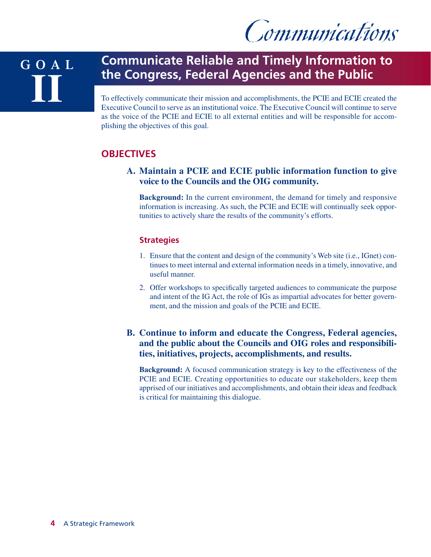Communications

## **GOAL II**

## **Communicate Reliable and Timely Information to the Congress, Federal Agencies and the Public**

To effectively communicate their mission and accomplishments, the PCIE and ECIE created the Executive Council to serve as an institutional voice. The Executive Council will continue to serve as the voice of the PCIE and ECIE to all external entities and will be responsible for accomplishing the objectives of this goal.

### **OBJECTIVES**

#### **A. Maintain a PCIE and ECIE public information function to give voice to the Councils and the OIG community.**

**Background:** In the current environment, the demand for timely and responsive information is increasing. As such, the PCIE and ECIE will continually seek opportunities to actively share the results of the community's efforts.

#### **Strategies**

- 1. Ensure that the content and design of the community's Web site (i.e., IGnet) continues to meet internal and external information needs in a timely, innovative, and useful manner.
- 2. Offer workshops to specifically targeted audiences to communicate the purpose and intent of the IG Act, the role of IGs as impartial advocates for better government, and the mission and goals of the PCIE and ECIE.

#### **B. Continue to inform and educate the Congress, Federal agencies, and the public about the Councils and OIG roles and responsibilities, initiatives, projects, accomplishments, and results.**

**Background:** A focused communication strategy is key to the effectiveness of the PCIE and ECIE. Creating opportunities to educate our stakeholders, keep them apprised of our initiatives and accomplishments, and obtain their ideas and feedback is critical for maintaining this dialogue.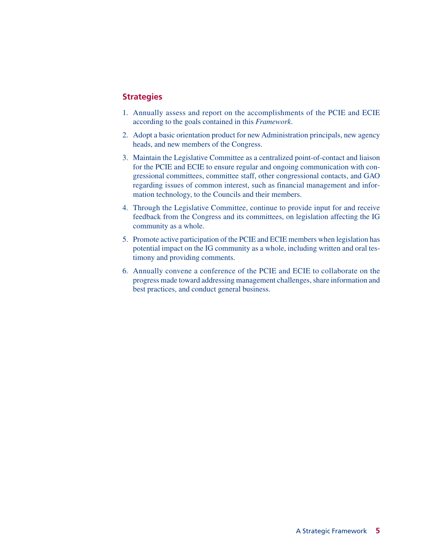- 1. Annually assess and report on the accomplishments of the PCIE and ECIE according to the goals contained in this *Framework*.
- 2. Adopt a basic orientation product for new Administration principals, new agency heads, and new members of the Congress.
- 3. Maintain the Legislative Committee as a centralized point-of-contact and liaison for the PCIE and ECIE to ensure regular and ongoing communication with congressional committees, committee staff, other congressional contacts, and GAO regarding issues of common interest, such as financial management and information technology, to the Councils and their members.
- 4. Through the Legislative Committee, continue to provide input for and receive feedback from the Congress and its committees, on legislation affecting the IG community as a whole.
- 5. Promote active participation of the PCIE and ECIE members when legislation has potential impact on the IG community as a whole, including written and oral testimony and providing comments.
- 6. Annually convene a conference of the PCIE and ECIE to collaborate on the progress made toward addressing management challenges, share information and best practices, and conduct general business.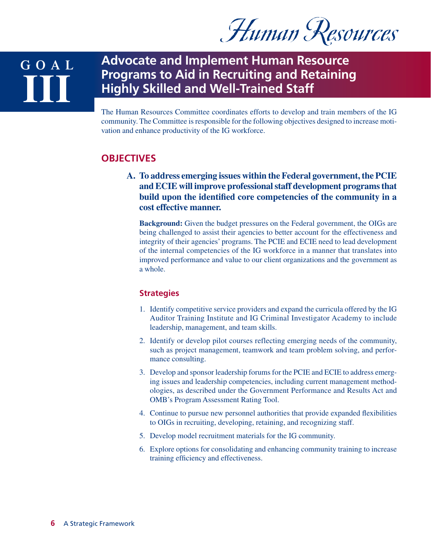Human Resources

**GOAL III**

### **Advocate and Implement Human Resource Programs to Aid in Recruiting and Retaining Highly Skilled and Well-Trained Staff**

The Human Resources Committee coordinates efforts to develop and train members of the IG community. The Committee is responsible for the following objectives designed to increase motivation and enhance productivity of the IG workforce.

#### **OBJECTIVES**

**A. To address emerging issues within the Federal government, the PCIE and ECIE will improve professional staff development programs that build upon the identified core competencies of the community in a cost effective manner.**

**Background:** Given the budget pressures on the Federal government, the OIGs are being challenged to assist their agencies to better account for the effectiveness and integrity of their agencies' programs. The PCIE and ECIE need to lead development of the internal competencies of the IG workforce in a manner that translates into improved performance and value to our client organizations and the government as a whole.

- 1. Identify competitive service providers and expand the curricula offered by the IG Auditor Training Institute and IG Criminal Investigator Academy to include leadership, management, and team skills.
- 2. Identify or develop pilot courses reflecting emerging needs of the community, such as project management, teamwork and team problem solving, and performance consulting.
- 3. Develop and sponsor leadership forums for the PCIE and ECIE to address emerging issues and leadership competencies, including current management methodologies, as described under the Government Performance and Results Act and OMB's Program Assessment Rating Tool.
- 4. Continue to pursue new personnel authorities that provide expanded flexibilities to OIGs in recruiting, developing, retaining, and recognizing staff.
- 5. Develop model recruitment materials for the IG community.
- 6. Explore options for consolidating and enhancing community training to increase training efficiency and effectiveness.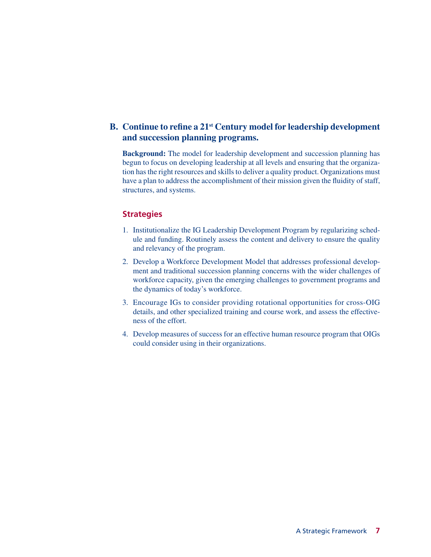#### **B. Continue to refine a 21st Century model for leadership development and succession planning programs.**

**Background:** The model for leadership development and succession planning has begun to focus on developing leadership at all levels and ensuring that the organization has the right resources and skills to deliver a quality product. Organizations must have a plan to address the accomplishment of their mission given the fluidity of staff, structures, and systems.

- 1. Institutionalize the IG Leadership Development Program by regularizing schedule and funding. Routinely assess the content and delivery to ensure the quality and relevancy of the program.
- 2. Develop a Workforce Development Model that addresses professional development and traditional succession planning concerns with the wider challenges of workforce capacity, given the emerging challenges to government programs and the dynamics of today's workforce.
- 3. Encourage IGs to consider providing rotational opportunities for cross-OIG details, and other specialized training and course work, and assess the effectiveness of the effort.
- 4. Develop measures of success for an effective human resource program that OIGs could consider using in their organizations.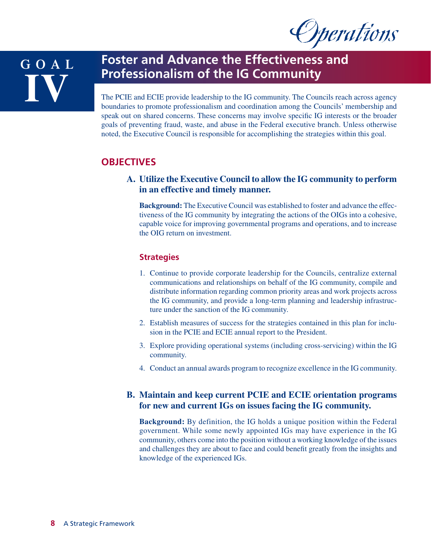**Operations** 

## **GOAL IV**

## **Foster and Advance the Effectiveness and Professionalism of the IG Community**

The PCIE and ECIE provide leadership to the IG community. The Councils reach across agency boundaries to promote professionalism and coordination among the Councils' membership and speak out on shared concerns. These concerns may involve specific IG interests or the broader goals of preventing fraud, waste, and abuse in the Federal executive branch. Unless otherwise noted, the Executive Council is responsible for accomplishing the strategies within this goal.

### **OBJECTIVES**

#### **A. Utilize the Executive Council to allow the IG community to perform in an effective and timely manner.**

**Background:** The Executive Council was established to foster and advance the effectiveness of the IG community by integrating the actions of the OIGs into a cohesive, capable voice for improving governmental programs and operations, and to increase the OIG return on investment.

#### **Strategies**

- 1. Continue to provide corporate leadership for the Councils, centralize external communications and relationships on behalf of the IG community, compile and distribute information regarding common priority areas and work projects across the IG community, and provide a long-term planning and leadership infrastructure under the sanction of the IG community.
- 2. Establish measures of success for the strategies contained in this plan for inclusion in the PCIE and ECIE annual report to the President.
- 3. Explore providing operational systems (including cross-servicing) within the IG community.
- 4. Conduct an annual awards program to recognize excellence in the IG community.

#### **B. Maintain and keep current PCIE and ECIE orientation programs for new and current IGs on issues facing the IG community.**

**Background:** By definition, the IG holds a unique position within the Federal government. While some newly appointed IGs may have experience in the IG community, others come into the position without a working knowledge of the issues and challenges they are about to face and could benefit greatly from the insights and knowledge of the experienced IGs.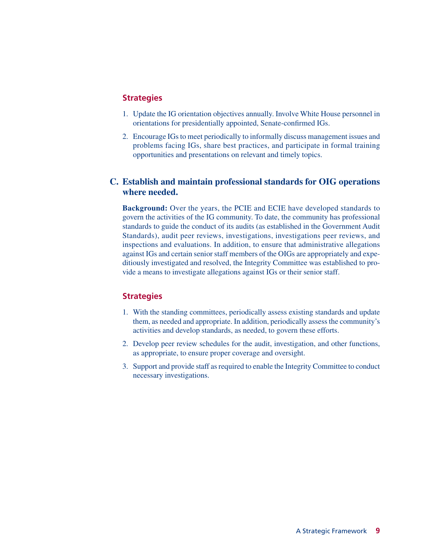#### **Strategies**

- 1. Update the IG orientation objectives annually. Involve White House personnel in orientations for presidentially appointed, Senate-confirmed IGs.
- 2. Encourage IGs to meet periodically to informally discuss management issues and problems facing IGs, share best practices, and participate in formal training opportunities and presentations on relevant and timely topics.

#### **C. Establish and maintain professional standards for OIG operations where needed.**

**Background:** Over the years, the PCIE and ECIE have developed standards to govern the activities of the IG community. To date, the community has professional standards to guide the conduct of its audits (as established in the Government Audit Standards), audit peer reviews, investigations, investigations peer reviews, and inspections and evaluations. In addition, to ensure that administrative allegations against IGs and certain senior staff members of the OIGs are appropriately and expeditiously investigated and resolved, the Integrity Committee was established to provide a means to investigate allegations against IGs or their senior staff.

- 1. With the standing committees, periodically assess existing standards and update them, as needed and appropriate. In addition, periodically assess the community's activities and develop standards, as needed, to govern these efforts.
- 2. Develop peer review schedules for the audit, investigation, and other functions, as appropriate, to ensure proper coverage and oversight.
- 3. Support and provide staff as required to enable the Integrity Committee to conduct necessary investigations.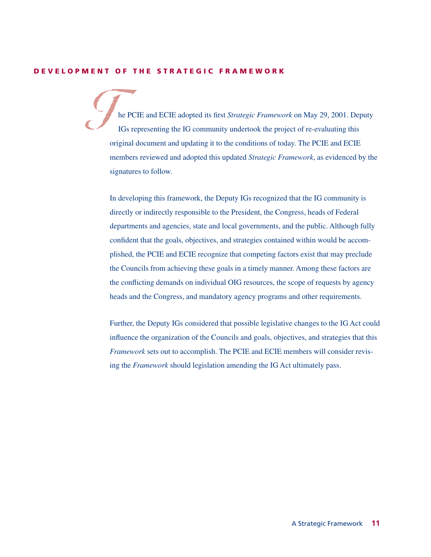#### **DEVELOPMENT OF THE STRATEGIC FRAMEWORK**

he PCIE and ECIE adopted its first *Strategic Framework* on May 29, 2001. Deputy IGs representing the IG community undertook the project of re-evaluating this original document and updating it to the conditions of today. The PCIE and ECIE members reviewed and adopted this updated *Strategic Framework*, as evidenced by the signatures to follow.  $\mathcal{G}$ 

In developing this framework, the Deputy IGs recognized that the IG community is directly or indirectly responsible to the President, the Congress, heads of Federal departments and agencies, state and local governments, and the public. Although fully confident that the goals, objectives, and strategies contained within would be accomplished, the PCIE and ECIE recognize that competing factors exist that may preclude the Councils from achieving these goals in a timely manner. Among these factors are the conflicting demands on individual OIG resources, the scope of requests by agency heads and the Congress, and mandatory agency programs and other requirements.

Further, the Deputy IGs considered that possible legislative changes to the IG Act could influence the organization of the Councils and goals, objectives, and strategies that this *Framework* sets out to accomplish. The PCIE and ECIE members will consider revising the *Framework* should legislation amending the IG Act ultimately pass.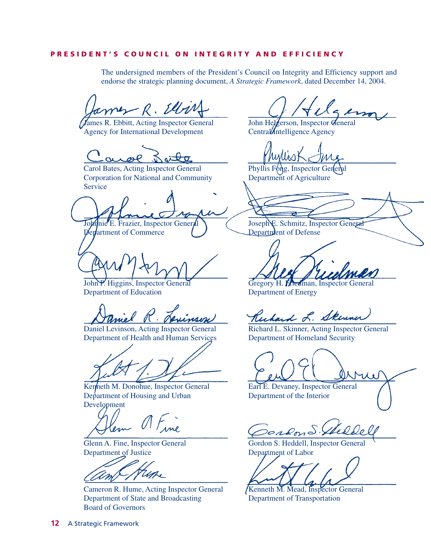#### **PRESIDENT'S COUNCIL ON INTEGRITY AND EFFICIENCY**

The undersigned members of the President's Council on Integrity and Efficiency support and endorse the strategic planning document, *A Strategic Framework*, dated December 14, 2004.

James R. Ellis

**J**ames R. Ebbitt, Acting Inspector General John Helgerson, Inspector General Agency for International Development Central Intelligence Agency

air

Carol Bates, Acting Inspector General Phyllis Fong, Inspector General Corporation for National and Community Department of Agriculture **Service** 

Inie E. Frazier, Inspector General **July 2018** Joseph E. Schmitz, Inspector General

 $D$ er department of Commerce  $\overline{D}$  Department of Defense

Department of Education Department of Energy

Department of Health and Human Services Department of Homeland Security

Kenneth M. Donohue, Inspector General Earl E. Devaney, Inspector General Department of Housing and Urban Department of the Interior Development

Department of Justice Department of Labor

Cameron R. Hume, Acting Inspector General (Kenneth M. Mead, Inspector General Department of State and Broadcasting Department of Transportation Board of Governors

John P. Higgins, Inspector General Gregory H. Friedman, Inspector General

Ruhard L. Skinner

Daniel Levinson, Acting Inspector General Richard L. Skinner, Acting Inspector General

ordon S. Stelde

Glenn A. Fine, Inspector General Gordon S. Heddell, Inspector General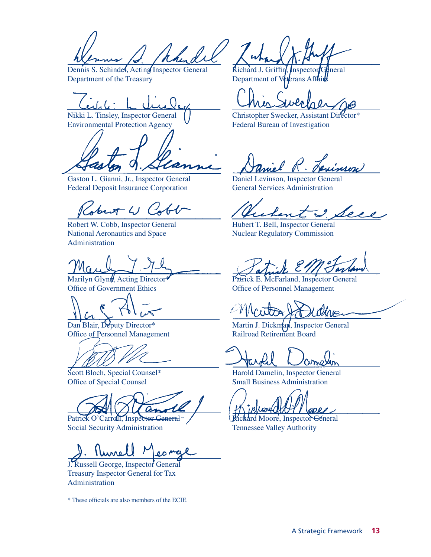handel

Department of the Treasury Department of Veterans Affairs

Environmental Protection Agency  $\overline{V}$  Federal Bureau of Investigation

Gaston L. Gianni, Jr., Inspector General Daniel Levinson, Inspector General Federal Deposit Insurance Corporation General Services Administration

 $\sqrt{2}$  ()  $\sqrt{2}$ 

National Aeronautics and Space Nuclear Regulatory Commission Administration

Na

Office of Personnel Management

Social Security Administration Tennessee Valley Authority

**AAME** 

J. Russell George, Inspector General Treasury Inspector General for Tax Administration

\* These officials are also members of the ECIE.

Dennis S. Schindel, Acting Inspector General Richard J. Griffin, Inspector General

Nikki L. Tinsley, Inspector General () Christopher Swecker, Assistant Director\*

I see

Robert W. Cobb, Inspector General Hubert T. Bell, Inspector General

Marilyn Glynt, Acting Director Patrick E. McFarland, Inspector General Office of Government Ethics Office of Personnel Management

Dan Blair, Deputy Director\* Martin J. Dickman, Inspector General Office of Personnel Management Railroad Retirement Board

Scott Bloch, Special Counsel\* Harold Damelin, Inspector General Office of Special Counsel Small Business Administration

**ODRA** 

Patrick O'Carroll, Inspector General / Richard Moore, Inspector General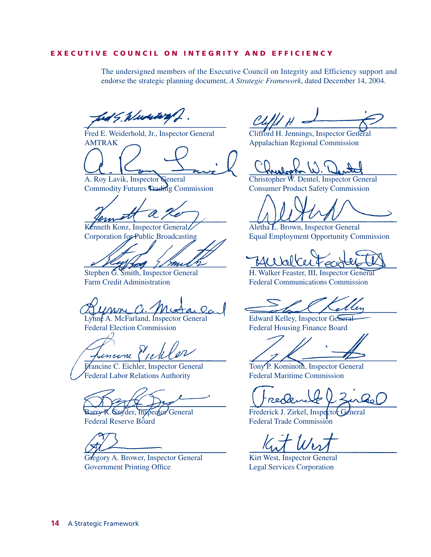#### **EXECUTIVE COUNCIL ON INTEGRITY AND EFFICIENCY**

The undersigned members of the Executive Council on Integrity and Efficiency support and endorse the strategic planning document, *A Strategic Framework*, dated December 14, 2004.

5 Www.way

Fred E. Weiderhold, Jr., Inspector General Clifford H. Jennings, Inspector General AMTRAK Appalachian Regional Commission

Commodity Futures Frading Commission Consumer Product Safety Commission

Kenneth Konz, Inspector General Aletha L. Brown, Inspector General

mn

Lynne A. McFarland, Inspector General Edward Kelley, Inspector General Federal Election Commission<br>
Federal Housing Finance Board

incine Piek

Federal Labor Relations Authority Federal Maritime Commission

Federal Reserve Board Federal Trade Commission

Gregory A. Brower, Inspector General Kirt West, Inspector General Government Printing Office Legal Services Corporation

A. Roy Lavik, Inspector General Christopher W. Dentel, Inspector General

Corporation for Public Broadcasting Equal Employment Opportunity Commission

Stephen G. Smith, Inspector General H. Walker Feaster, III, Inspector General Farm Credit Administration Federal Communications Commission

Francine C. Eichler, Inspector General Tony P. Kominoth, Inspector General

red

Barry R. Snyder, Inspector General Frederick J. Zirkel, Inspector General